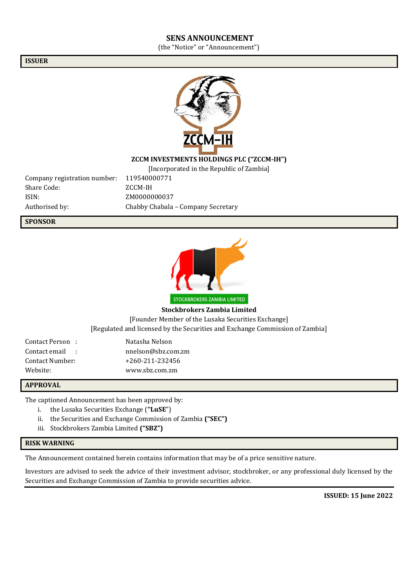### **SENS ANNOUNCEMENT**

(the "Notice" or "Announcement")

**ISSUER**



### **ZCCM INVESTMENTS HOLDINGS PLC ("ZCCM-IH")**

[Incorporated in the Republic of Zambia]

Company registration number: 119540000771 Share Code: ZCCM-IH ISIN: ZM0000000037

Authorised by: Chabby Chabala – Company Secretary

**SPONSOR**



**Stockbrokers Zambia Limited** [Founder Member of the Lusaka Securities Exchange] [Regulated and licensed by the Securities and Exchange Commission of Zambia]

Contact Person : Natasha Nelson Contact email : nnelson@sbz.com.zm Contact Number: +260-211-232456 Website: www.sbz.com.zm

#### **APPROVAL**

The captioned Announcement has been approved by:

- i. the Lusaka Securities Exchange (**"LuSE**")
- ii. the Securities and Exchange Commission of Zambia **("SEC")**
- iii. Stockbrokers Zambia Limited **("SBZ")**

#### **RISK WARNING**

The Announcement contained herein contains information that may be of a price sensitive nature.

Investors are advised to seek the advice of their investment advisor, stockbroker, or any professional duly licensed by the Securities and Exchange Commission of Zambia to provide securities advice.

**ISSUED: 15 June 2022**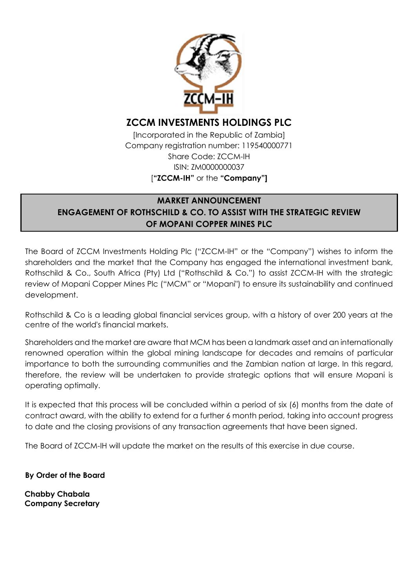

# **ZCCM INVESTMENTS HOLDINGS PLC**

[Incorporated in the Republic of Zambia] Company registration number: 119540000771 Share Code: ZCCM-IH ISIN: ZM0000000037 [**"ZCCM-IH"** or the **"Company"]**

# **MARKET ANNOUNCEMENT ENGAGEMENT OF ROTHSCHILD & CO. TO ASSIST WITH THE STRATEGIC REVIEW OF MOPANI COPPER MINES PLC**

The Board of ZCCM Investments Holding Plc ("ZCCM-IH" or the "Company") wishes to inform the shareholders and the market that the Company has engaged the international investment bank, Rothschild & Co., South Africa (Pty) Ltd ("Rothschild & Co.") to assist ZCCM-IH with the strategic review of Mopani Copper Mines Plc ("MCM" or "Mopani") to ensure its sustainability and continued development.

Rothschild & Co is a leading global financial services group, with a history of over 200 years at the centre of the world's financial markets.

Shareholders and the market are aware that MCM has been a landmark asset and an internationally renowned operation within the global mining landscape for decades and remains of particular importance to both the surrounding communities and the Zambian nation at large. In this regard, therefore, the review will be undertaken to provide strategic options that will ensure Mopani is operating optimally.

It is expected that this process will be concluded within a period of six (6) months from the date of contract award, with the ability to extend for a further 6 month period, taking into account progress to date and the closing provisions of any transaction agreements that have been signed.

The Board of ZCCM-IH will update the market on the results of this exercise in due course.

**By Order of the Board**

**Chabby Chabala Company Secretary**